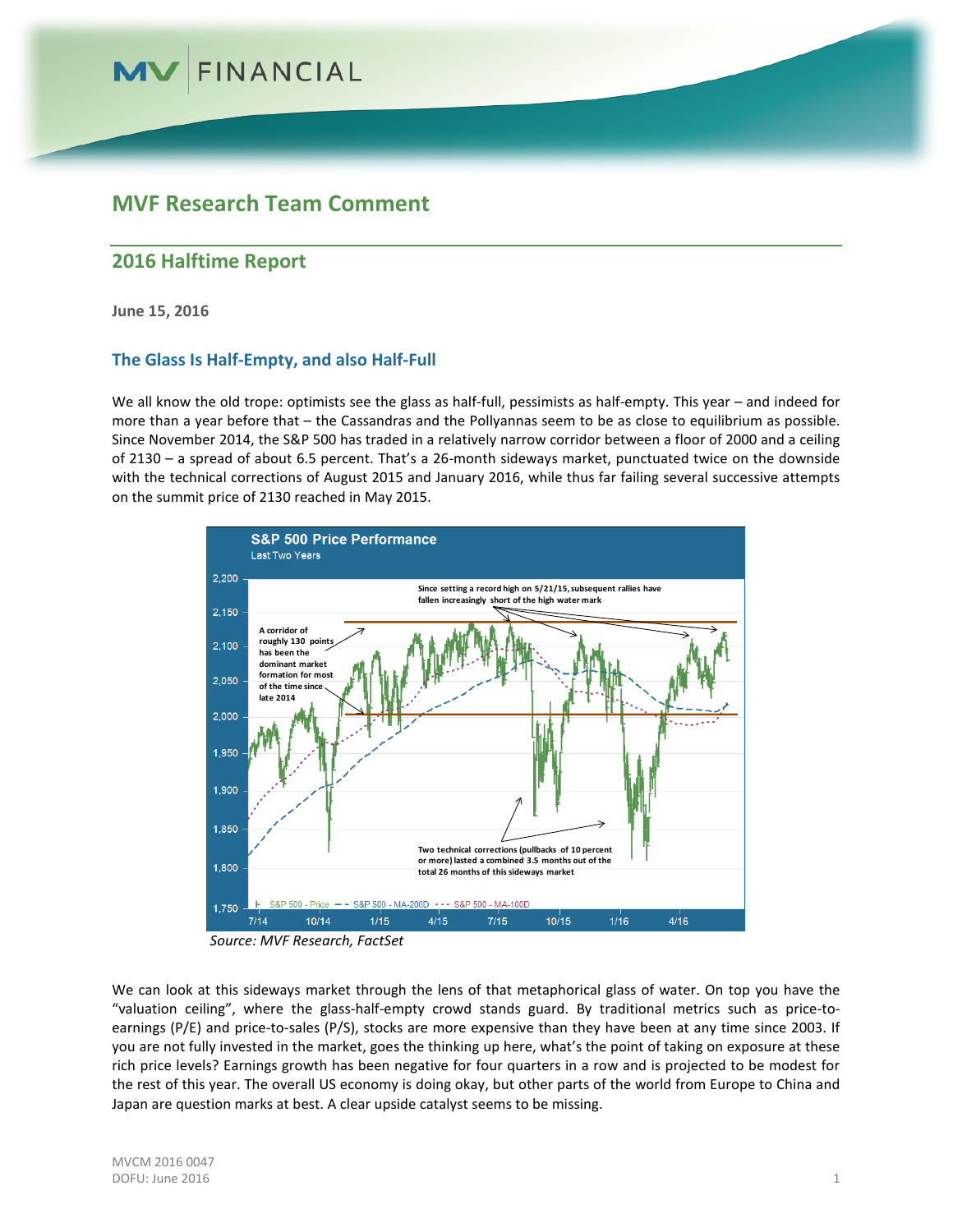

### **MVF Research Team Comment**

### **2016 Halftime Report**

**June 15, 2016**

### **The Glass Is Half-Empty, and also Half-Full**

We all know the old trope: optimists see the glass as half-full, pessimists as half-empty. This year – and indeed for more than a year before that – the Cassandras and the Pollyannas seem to be as close to equilibrium as possible. Since November 2014, the S&P 500 has traded in a relatively narrow corridor between a floor of 2000 and a ceiling of 2130 – a spread of about 6.5 percent. That's a 26-month sideways market, punctuated twice on the downside with the technical corrections of August 2015 and January 2016, while thus far failing several successive attempts on the summit price of 2130 reached in May 2015.



*Source: MVF Research, FactSet*

We can look at this sideways market through the lens of that metaphorical glass of water. On top you have the "valuation ceiling", where the glass-half-empty crowd stands guard. By traditional metrics such as price-toearnings (P/E) and price-to-sales (P/S), stocks are more expensive than they have been at any time since 2003. If you are not fully invested in the market, goes the thinking up here, what's the point of taking on exposure at these rich price levels? Earnings growth has been negative for four quarters in a row and is projected to be modest for the rest of this year. The overall US economy is doing okay, but other parts of the world from Europe to China and Japan are question marks at best. A clear upside catalyst seems to be missing.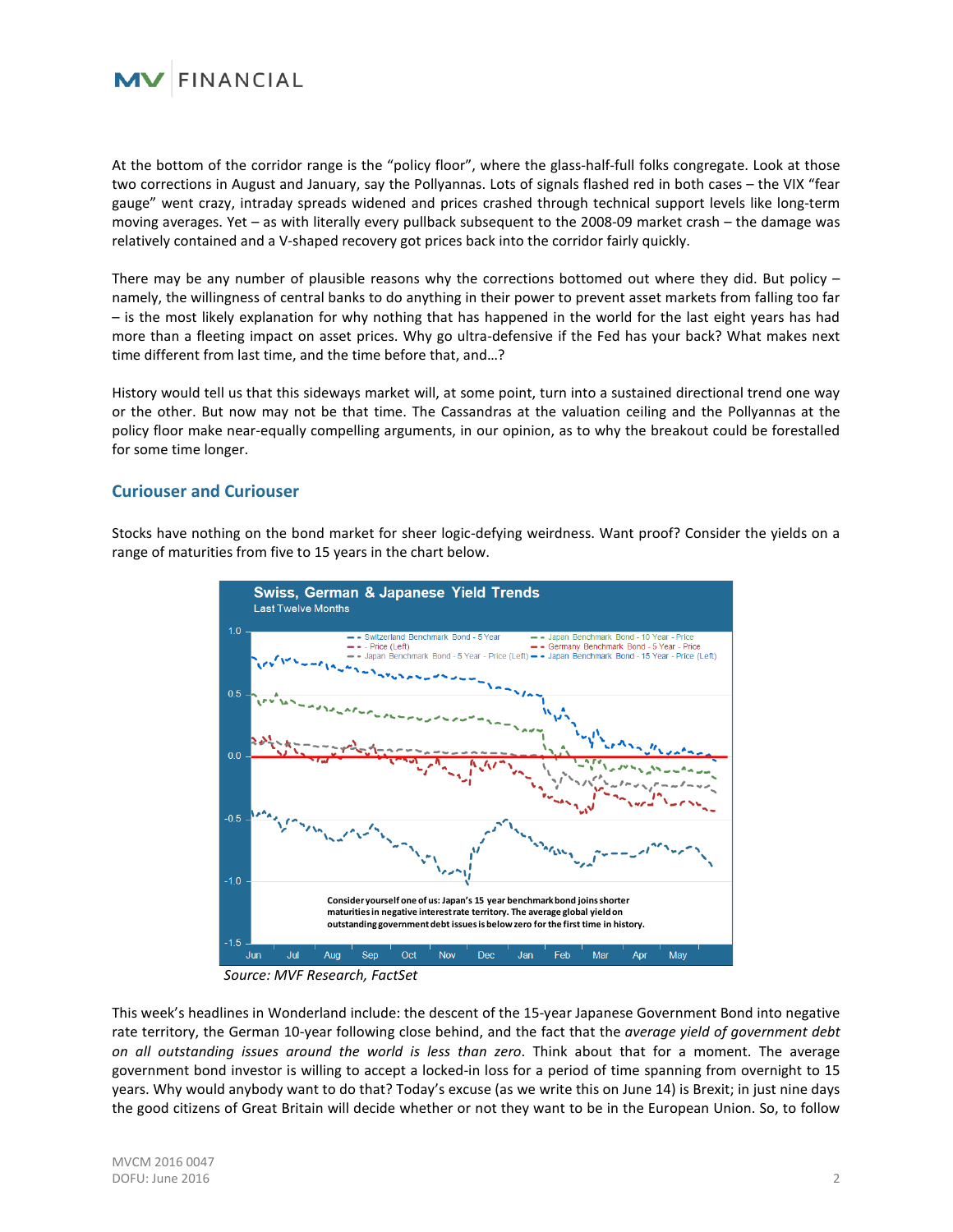

At the bottom of the corridor range is the "policy floor", where the glass-half-full folks congregate. Look at those two corrections in August and January, say the Pollyannas. Lots of signals flashed red in both cases – the VIX "fear gauge" went crazy, intraday spreads widened and prices crashed through technical support levels like long-term moving averages. Yet – as with literally every pullback subsequent to the 2008-09 market crash – the damage was relatively contained and a V-shaped recovery got prices back into the corridor fairly quickly.

There may be any number of plausible reasons why the corrections bottomed out where they did. But policy – namely, the willingness of central banks to do anything in their power to prevent asset markets from falling too far – is the most likely explanation for why nothing that has happened in the world for the last eight years has had more than a fleeting impact on asset prices. Why go ultra-defensive if the Fed has your back? What makes next time different from last time, and the time before that, and…?

History would tell us that this sideways market will, at some point, turn into a sustained directional trend one way or the other. But now may not be that time. The Cassandras at the valuation ceiling and the Pollyannas at the policy floor make near-equally compelling arguments, in our opinion, as to why the breakout could be forestalled for some time longer.

#### **Curiouser and Curiouser**

Stocks have nothing on the bond market for sheer logic-defying weirdness. Want proof? Consider the yields on a range of maturities from five to 15 years in the chart below.



*Source: MVF Research, FactSet*

This week's headlines in Wonderland include: the descent of the 15-year Japanese Government Bond into negative rate territory, the German 10-year following close behind, and the fact that the *average yield of government debt on all outstanding issues around the world is less than zero*. Think about that for a moment. The average government bond investor is willing to accept a locked-in loss for a period of time spanning from overnight to 15 years. Why would anybody want to do that? Today's excuse (as we write this on June 14) is Brexit; in just nine days the good citizens of Great Britain will decide whether or not they want to be in the European Union. So, to follow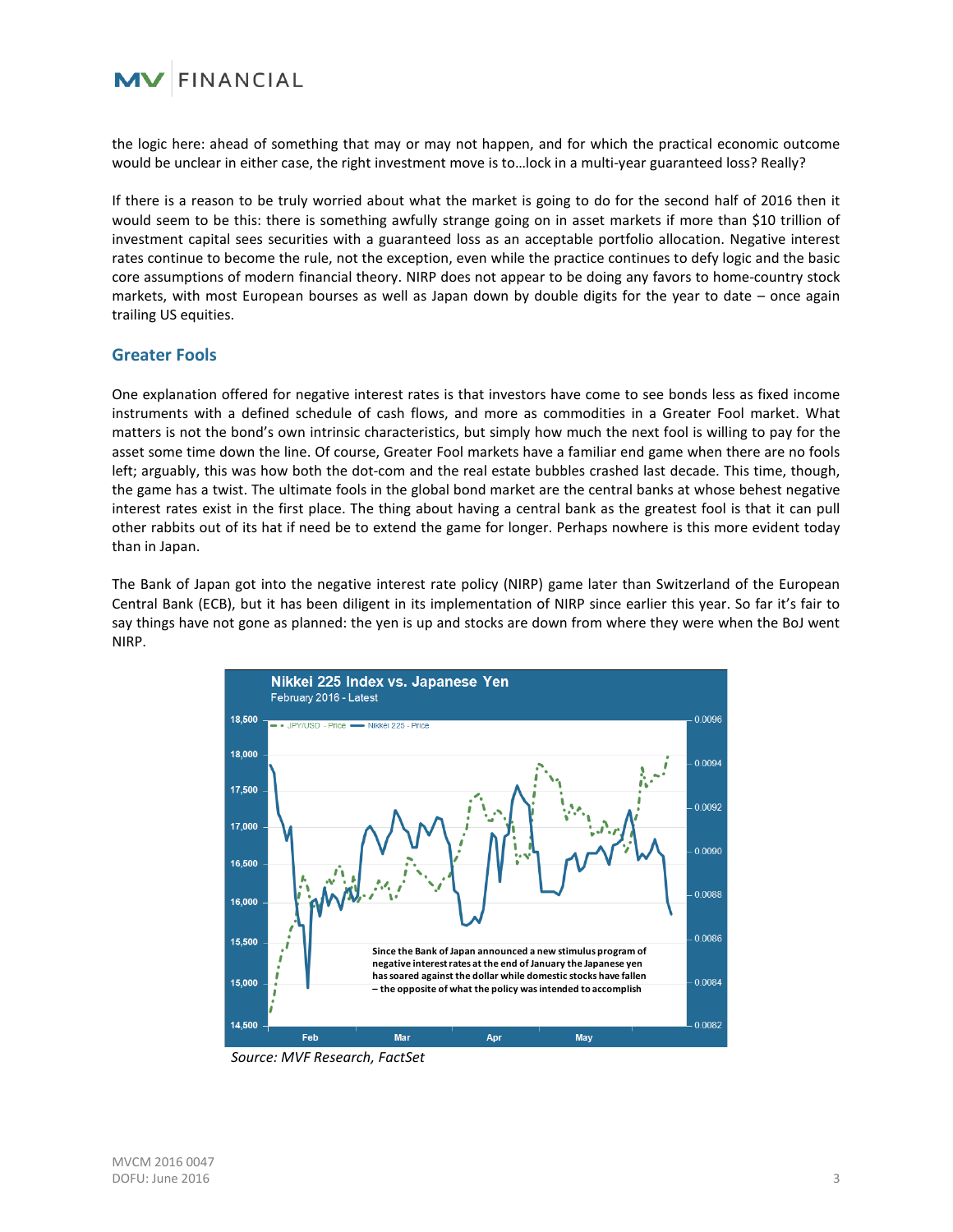

the logic here: ahead of something that may or may not happen, and for which the practical economic outcome would be unclear in either case, the right investment move is to…lock in a multi-year guaranteed loss? Really?

If there is a reason to be truly worried about what the market is going to do for the second half of 2016 then it would seem to be this: there is something awfully strange going on in asset markets if more than \$10 trillion of investment capital sees securities with a guaranteed loss as an acceptable portfolio allocation. Negative interest rates continue to become the rule, not the exception, even while the practice continues to defy logic and the basic core assumptions of modern financial theory. NIRP does not appear to be doing any favors to home-country stock markets, with most European bourses as well as Japan down by double digits for the year to date – once again trailing US equities.

#### **Greater Fools**

One explanation offered for negative interest rates is that investors have come to see bonds less as fixed income instruments with a defined schedule of cash flows, and more as commodities in a Greater Fool market. What matters is not the bond's own intrinsic characteristics, but simply how much the next fool is willing to pay for the asset some time down the line. Of course, Greater Fool markets have a familiar end game when there are no fools left; arguably, this was how both the dot-com and the real estate bubbles crashed last decade. This time, though, the game has a twist. The ultimate fools in the global bond market are the central banks at whose behest negative interest rates exist in the first place. The thing about having a central bank as the greatest fool is that it can pull other rabbits out of its hat if need be to extend the game for longer. Perhaps nowhere is this more evident today than in Japan.

The Bank of Japan got into the negative interest rate policy (NIRP) game later than Switzerland of the European Central Bank (ECB), but it has been diligent in its implementation of NIRP since earlier this year. So far it's fair to say things have not gone as planned: the yen is up and stocks are down from where they were when the BoJ went NIRP.



*Source: MVF Research, FactSet*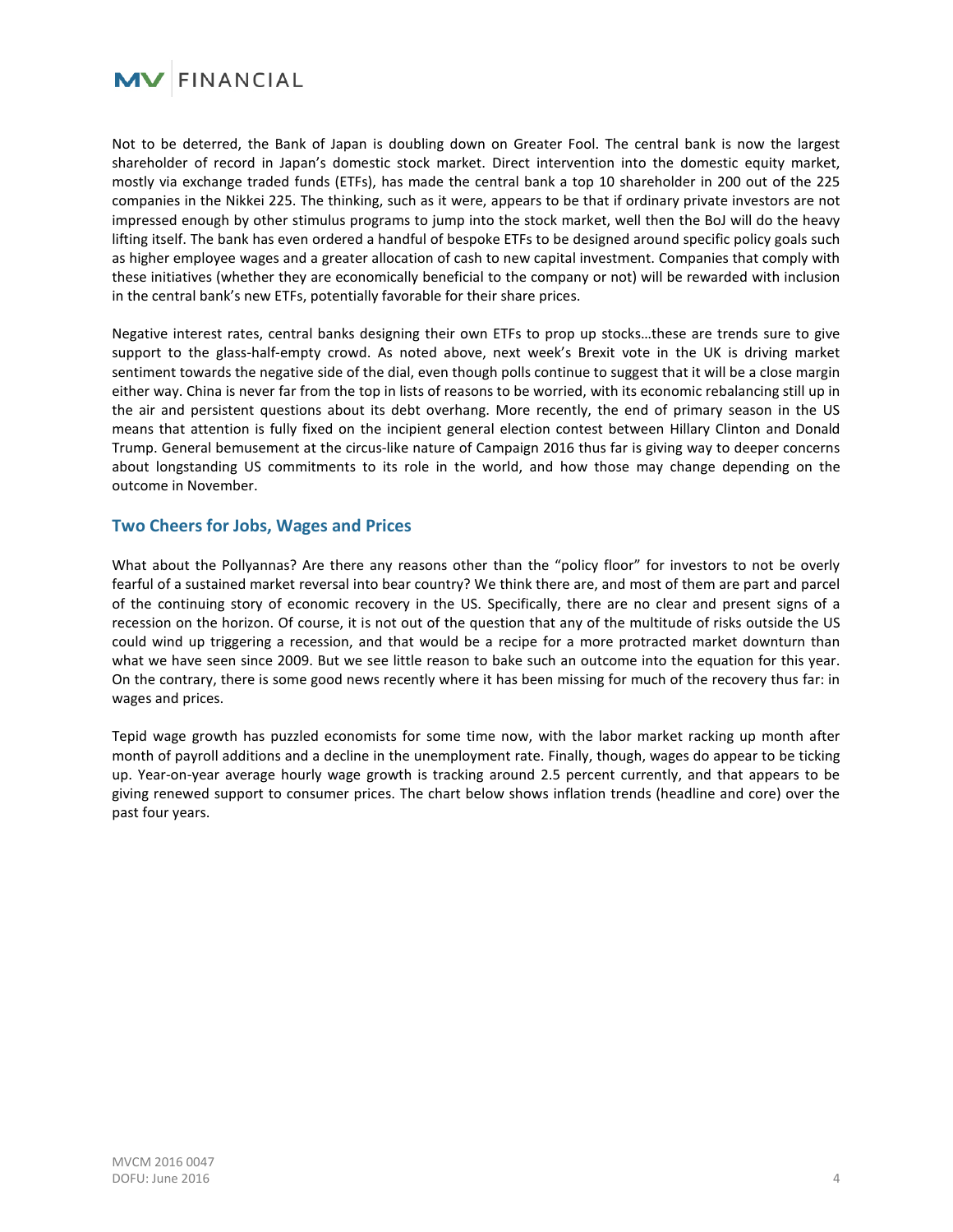

Not to be deterred, the Bank of Japan is doubling down on Greater Fool. The central bank is now the largest shareholder of record in Japan's domestic stock market. Direct intervention into the domestic equity market, mostly via exchange traded funds (ETFs), has made the central bank a top 10 shareholder in 200 out of the 225 companies in the Nikkei 225. The thinking, such as it were, appears to be that if ordinary private investors are not impressed enough by other stimulus programs to jump into the stock market, well then the BoJ will do the heavy lifting itself. The bank has even ordered a handful of bespoke ETFs to be designed around specific policy goals such as higher employee wages and a greater allocation of cash to new capital investment. Companies that comply with these initiatives (whether they are economically beneficial to the company or not) will be rewarded with inclusion in the central bank's new ETFs, potentially favorable for their share prices.

Negative interest rates, central banks designing their own ETFs to prop up stocks…these are trends sure to give support to the glass-half-empty crowd. As noted above, next week's Brexit vote in the UK is driving market sentiment towards the negative side of the dial, even though polls continue to suggest that it will be a close margin either way. China is never far from the top in lists of reasons to be worried, with its economic rebalancing still up in the air and persistent questions about its debt overhang. More recently, the end of primary season in the US means that attention is fully fixed on the incipient general election contest between Hillary Clinton and Donald Trump. General bemusement at the circus-like nature of Campaign 2016 thus far is giving way to deeper concerns about longstanding US commitments to its role in the world, and how those may change depending on the outcome in November.

### **Two Cheers for Jobs, Wages and Prices**

What about the Pollyannas? Are there any reasons other than the "policy floor" for investors to not be overly fearful of a sustained market reversal into bear country? We think there are, and most of them are part and parcel of the continuing story of economic recovery in the US. Specifically, there are no clear and present signs of a recession on the horizon. Of course, it is not out of the question that any of the multitude of risks outside the US could wind up triggering a recession, and that would be a recipe for a more protracted market downturn than what we have seen since 2009. But we see little reason to bake such an outcome into the equation for this year. On the contrary, there is some good news recently where it has been missing for much of the recovery thus far: in wages and prices.

Tepid wage growth has puzzled economists for some time now, with the labor market racking up month after month of payroll additions and a decline in the unemployment rate. Finally, though, wages do appear to be ticking up. Year-on-year average hourly wage growth is tracking around 2.5 percent currently, and that appears to be giving renewed support to consumer prices. The chart below shows inflation trends (headline and core) over the past four years.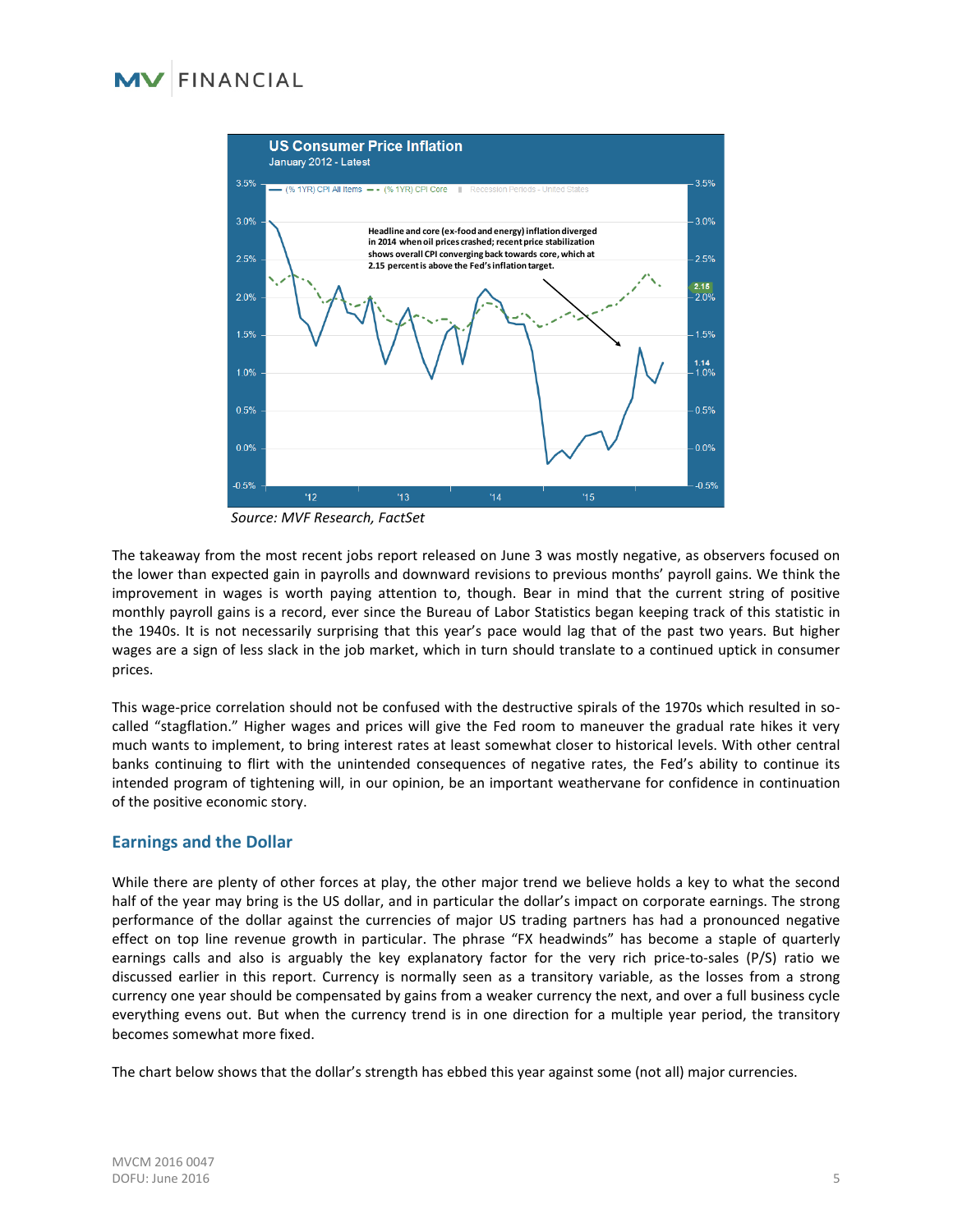## FINANCIAL



*Source: MVF Research, FactSet*

The takeaway from the most recent jobs report released on June 3 was mostly negative, as observers focused on the lower than expected gain in payrolls and downward revisions to previous months' payroll gains. We think the improvement in wages is worth paying attention to, though. Bear in mind that the current string of positive monthly payroll gains is a record, ever since the Bureau of Labor Statistics began keeping track of this statistic in the 1940s. It is not necessarily surprising that this year's pace would lag that of the past two years. But higher wages are a sign of less slack in the job market, which in turn should translate to a continued uptick in consumer prices.

This wage-price correlation should not be confused with the destructive spirals of the 1970s which resulted in socalled "stagflation." Higher wages and prices will give the Fed room to maneuver the gradual rate hikes it very much wants to implement, to bring interest rates at least somewhat closer to historical levels. With other central banks continuing to flirt with the unintended consequences of negative rates, the Fed's ability to continue its intended program of tightening will, in our opinion, be an important weathervane for confidence in continuation of the positive economic story.

### **Earnings and the Dollar**

While there are plenty of other forces at play, the other major trend we believe holds a key to what the second half of the year may bring is the US dollar, and in particular the dollar's impact on corporate earnings. The strong performance of the dollar against the currencies of major US trading partners has had a pronounced negative effect on top line revenue growth in particular. The phrase "FX headwinds" has become a staple of quarterly earnings calls and also is arguably the key explanatory factor for the very rich price-to-sales (P/S) ratio we discussed earlier in this report. Currency is normally seen as a transitory variable, as the losses from a strong currency one year should be compensated by gains from a weaker currency the next, and over a full business cycle everything evens out. But when the currency trend is in one direction for a multiple year period, the transitory becomes somewhat more fixed.

The chart below shows that the dollar's strength has ebbed this year against some (not all) major currencies.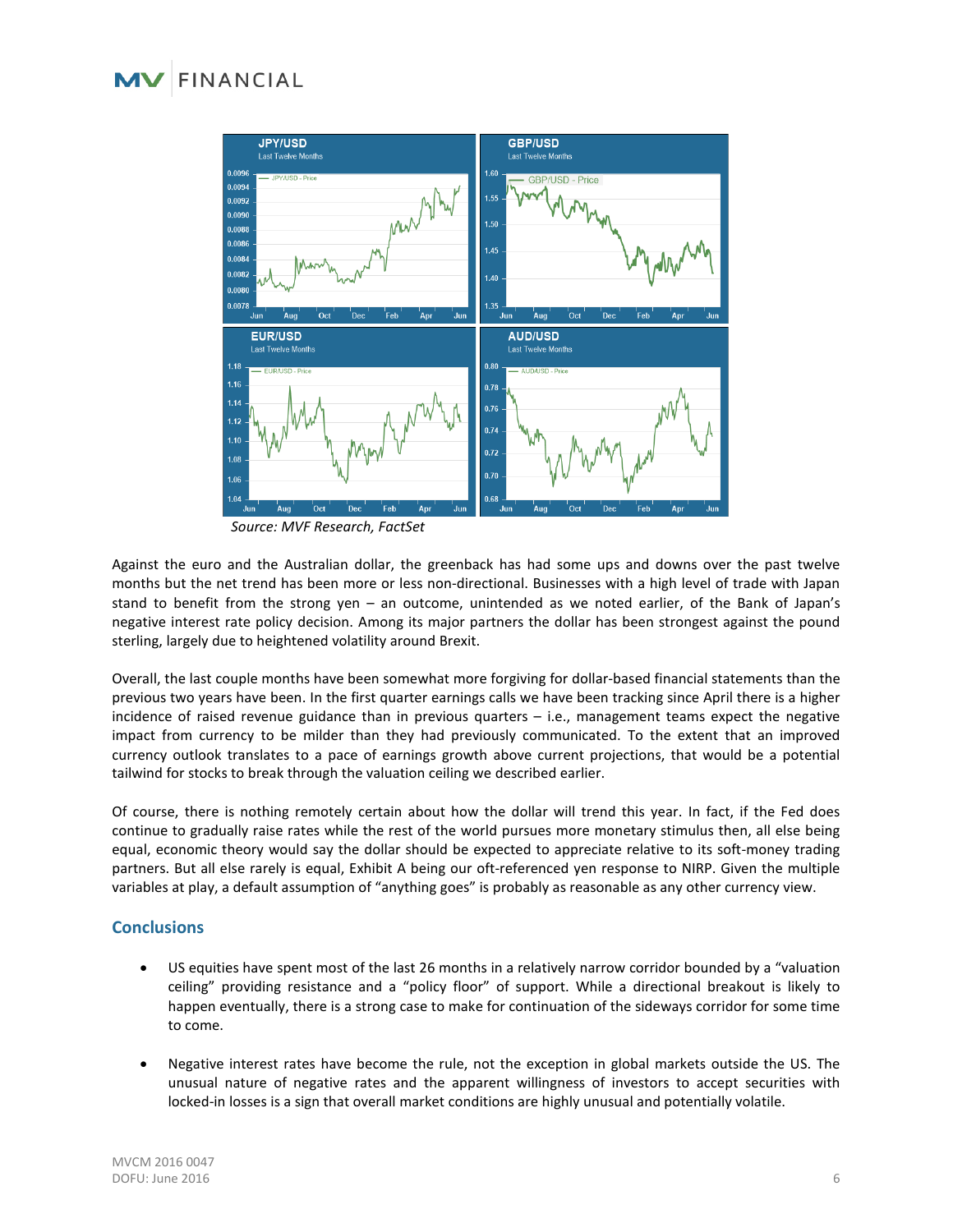# FINANCIAL



*Source: MVF Research, FactSet*

Against the euro and the Australian dollar, the greenback has had some ups and downs over the past twelve months but the net trend has been more or less non-directional. Businesses with a high level of trade with Japan stand to benefit from the strong yen – an outcome, unintended as we noted earlier, of the Bank of Japan's negative interest rate policy decision. Among its major partners the dollar has been strongest against the pound sterling, largely due to heightened volatility around Brexit.

Overall, the last couple months have been somewhat more forgiving for dollar-based financial statements than the previous two years have been. In the first quarter earnings calls we have been tracking since April there is a higher incidence of raised revenue guidance than in previous quarters – i.e., management teams expect the negative impact from currency to be milder than they had previously communicated. To the extent that an improved currency outlook translates to a pace of earnings growth above current projections, that would be a potential tailwind for stocks to break through the valuation ceiling we described earlier.

Of course, there is nothing remotely certain about how the dollar will trend this year. In fact, if the Fed does continue to gradually raise rates while the rest of the world pursues more monetary stimulus then, all else being equal, economic theory would say the dollar should be expected to appreciate relative to its soft-money trading partners. But all else rarely is equal, Exhibit A being our oft-referenced yen response to NIRP. Given the multiple variables at play, a default assumption of "anything goes" is probably as reasonable as any other currency view.

### **Conclusions**

- US equities have spent most of the last 26 months in a relatively narrow corridor bounded by a "valuation ceiling" providing resistance and a "policy floor" of support. While a directional breakout is likely to happen eventually, there is a strong case to make for continuation of the sideways corridor for some time to come.
- Negative interest rates have become the rule, not the exception in global markets outside the US. The unusual nature of negative rates and the apparent willingness of investors to accept securities with locked-in losses is a sign that overall market conditions are highly unusual and potentially volatile.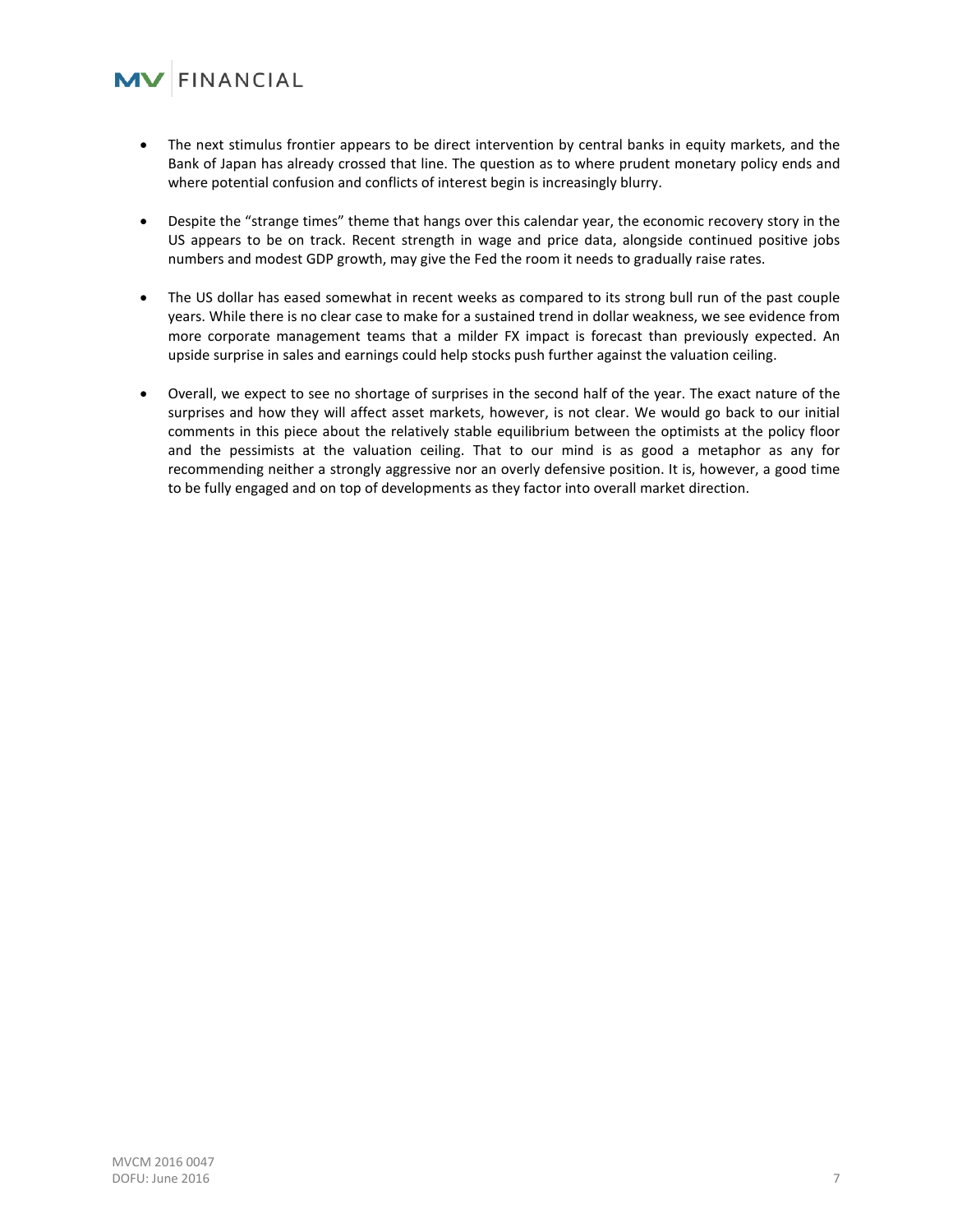### $\mathbf{V}$  FINANCIAL

- The next stimulus frontier appears to be direct intervention by central banks in equity markets, and the Bank of Japan has already crossed that line. The question as to where prudent monetary policy ends and where potential confusion and conflicts of interest begin is increasingly blurry.
- Despite the "strange times" theme that hangs over this calendar year, the economic recovery story in the US appears to be on track. Recent strength in wage and price data, alongside continued positive jobs numbers and modest GDP growth, may give the Fed the room it needs to gradually raise rates.
- The US dollar has eased somewhat in recent weeks as compared to its strong bull run of the past couple years. While there is no clear case to make for a sustained trend in dollar weakness, we see evidence from more corporate management teams that a milder FX impact is forecast than previously expected. An upside surprise in sales and earnings could help stocks push further against the valuation ceiling.
- Overall, we expect to see no shortage of surprises in the second half of the year. The exact nature of the surprises and how they will affect asset markets, however, is not clear. We would go back to our initial comments in this piece about the relatively stable equilibrium between the optimists at the policy floor and the pessimists at the valuation ceiling. That to our mind is as good a metaphor as any for recommending neither a strongly aggressive nor an overly defensive position. It is, however, a good time to be fully engaged and on top of developments as they factor into overall market direction.